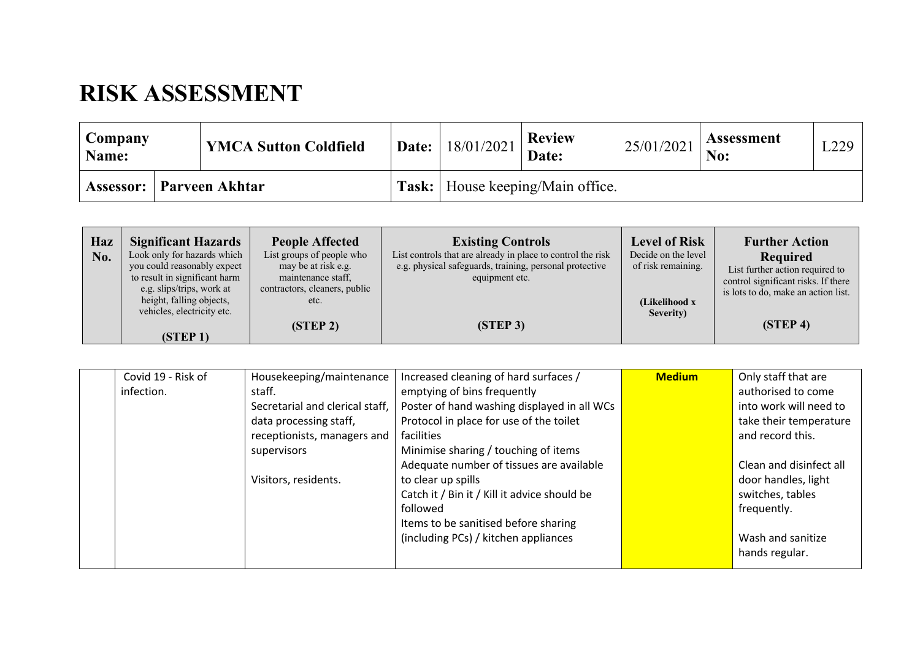## **RISK ASSESSMENT**

| Company<br>Name:           |  | <b>YMCA Sutton Coldfield</b>              |  | <b>Review</b><br>$\mathbf{a}$   Date:   18/01/2021   $\mathbf{a}$   $\mathbf{a}$   $\mathbf{b}$   $\mathbf{a}$   $\mathbf{b}$   $\mathbf{b}$   $\mathbf{c}$   $\mathbf{c}$   $\mathbf{c}$   $\mathbf{c}$   $\mathbf{c}$   $\mathbf{c}$   $\mathbf{c}$   $\mathbf{c}$   $\mathbf{c}$   $\mathbf{c}$   $\mathbf{c}$   $\$ | 25/01/2021 | <b>Assessment</b> | L229 |
|----------------------------|--|-------------------------------------------|--|-------------------------------------------------------------------------------------------------------------------------------------------------------------------------------------------------------------------------------------------------------------------------------------------------------------------------|------------|-------------------|------|
| Assessor:   Parveen Akhtar |  | <b>Task:</b>   House keeping/Main office. |  |                                                                                                                                                                                                                                                                                                                         |            |                   |      |

| Haz | <b>Significant Hazards</b>                                                                                                                                                         | <b>People Affected</b>                                                                                          | <b>Existing Controls</b>                                                                                                                 | <b>Level of Risk</b>                                                    | <b>Further Action</b>                                                                                                                             |
|-----|------------------------------------------------------------------------------------------------------------------------------------------------------------------------------------|-----------------------------------------------------------------------------------------------------------------|------------------------------------------------------------------------------------------------------------------------------------------|-------------------------------------------------------------------------|---------------------------------------------------------------------------------------------------------------------------------------------------|
| No. | Look only for hazards which<br>you could reasonably expect<br>to result in significant harm<br>e.g. slips/trips, work at<br>height, falling objects,<br>vehicles, electricity etc. | List groups of people who<br>may be at risk e.g.<br>maintenance staff,<br>contractors, cleaners, public<br>etc. | List controls that are already in place to control the risk<br>e.g. physical safeguards, training, personal protective<br>equipment etc. | Decide on the level<br>of risk remaining.<br>(Likelihood x<br>Severity) | Required<br>List further action required to<br>control significant risks. If there<br>is lots to do, make an action list.<br>(STEP <sub>4</sub> ) |
|     | (STEP <sub>1</sub> )                                                                                                                                                               | (STEP <sub>2</sub> )                                                                                            | (STEP 3)                                                                                                                                 |                                                                         |                                                                                                                                                   |

| Covid 19 - Risk of | Housekeeping/maintenance        | Increased cleaning of hard surfaces /        | <b>Medium</b> | Only staff that are     |
|--------------------|---------------------------------|----------------------------------------------|---------------|-------------------------|
| infection.         | staff.                          | emptying of bins frequently                  |               | authorised to come      |
|                    | Secretarial and clerical staff, | Poster of hand washing displayed in all WCs  |               | into work will need to  |
|                    | data processing staff,          | Protocol in place for use of the toilet      |               | take their temperature  |
|                    | receptionists, managers and     | facilities                                   |               | and record this.        |
|                    | supervisors                     | Minimise sharing / touching of items         |               |                         |
|                    |                                 | Adequate number of tissues are available     |               | Clean and disinfect all |
|                    | Visitors, residents.            | to clear up spills                           |               | door handles, light     |
|                    |                                 | Catch it / Bin it / Kill it advice should be |               | switches, tables        |
|                    |                                 | followed                                     |               | frequently.             |
|                    |                                 | Items to be sanitised before sharing         |               |                         |
|                    |                                 | (including PCs) / kitchen appliances         |               | Wash and sanitize       |
|                    |                                 |                                              |               | hands regular.          |
|                    |                                 |                                              |               |                         |